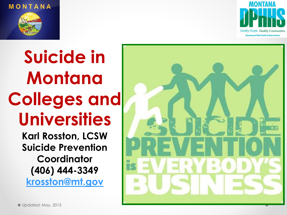





**Suicide in Montana Colleges and Universities**

> **Karl Rosston, LCSW Suicide Prevention Coordinator (406) 444-3349 [krosston@mt.gov](mailto:krosston@mt.gov)**

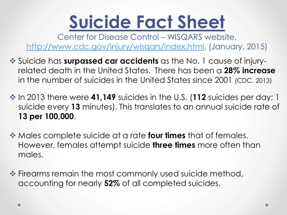# **Suicide Fact Sheet**

Center for Disease Control – WISQARS website, [http://www.cdc.gov/injury/wisqars/index.html,](http://www.cdc.gov/injury/wisqars/index.html) (January, 2015)

- Suicide has **surpassed car accidents** as the No. 1 cause of injuryrelated death in the United States. There has been a **28% increase**  in the number of suicides in the United States since 2001 (CDC, 2013)
- ◆ In 2013 there were 41,149 suicides in the U.S. (112 suicides per day; 1 suicide every **13** minutes). This translates to an annual suicide rate of **13 per 100,000**.
- Males complete suicide at a rate **four times** that of females. However, females attempt suicide **three times** more often than males.
- **Example Firearms remain the most commonly used suicide method,** accounting for nearly **52%** of all completed suicides.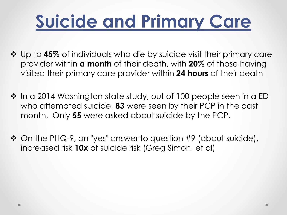# **Suicide and Primary Care**

- **❖** Up to 45% of individuals who die by suicide visit their primary care provider within **a month** of their death, with **20%** of those having visited their primary care provider within **24 hours** of their death
- ❖ In a 2014 Washington state study, out of 100 people seen in a ED who attempted suicide, **83** were seen by their PCP in the past month. Only **55** were asked about suicide by the PCP.
- $\clubsuit$  On the PHQ-9, an "yes" answer to question #9 (about suicide), increased risk **10x** of suicide risk (Greg Simon, et al)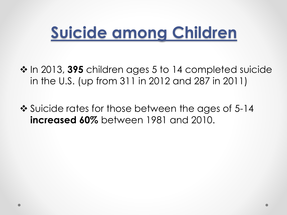### **Suicide among Children**

 In 2013, **395** children ages 5 to 14 completed suicide in the U.S. (up from 311 in 2012 and 287 in 2011)

❖ Suicide rates for those between the ages of 5-14 **increased 60%** between 1981 and 2010.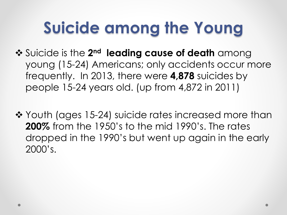### **Suicide among the Young**

- **❖** Suicide is the 2<sup>nd</sup> leading cause of death among young (15-24) Americans; only accidents occur more frequently. In 2013, there were **4,878** suicides by people 15-24 years old. (up from 4,872 in 2011)
- ❖ Youth (ages 15-24) suicide rates increased more than **200%** from the 1950's to the mid 1990's. The rates dropped in the 1990's but went up again in the early 2000's.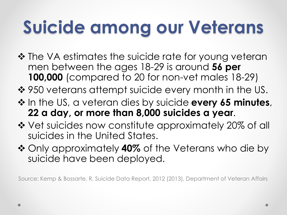# **Suicide among our Veterans**

- ❖ The VA estimates the suicide rate for young veteran men between the ages 18-29 is around **56 per 100,000** (compared to 20 for non-vet males 18-29)
- ❖ 950 veterans attempt suicide every month in the US.
- $\triangle$  In the US, a veteran dies by suicide **every 65 minutes**, **22 a day, or more than 8,000 suicides a year**.
- Vet suicides now constitute approximately 20% of all suicides in the United States.
- Only approximately **40%** of the Veterans who die by suicide have been deployed.

Source: Kemp & Bossarte, R, Suicide Data Report, 2012 (2013), Department of Veteran Affairs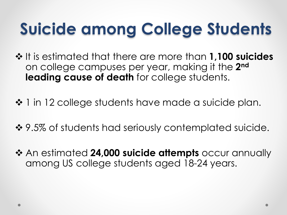# **Suicide among College Students**

- $\div$  It is estimated that there are more than **1,100 suicides** on college campuses per year, making it the **2 nd leading cause of death** for college students.
- ❖ 1 in 12 college students have made a suicide plan.
- ❖ 9.5% of students had seriously contemplated suicide.
- **↑ An estimated 24,000 suicide attempts** occur annually among US college students aged 18-24 years.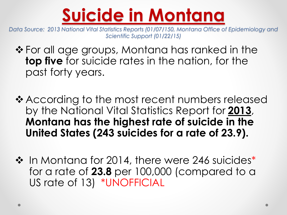

*Data Source: 2013 National Vital Statistics Reports (01/07/150, Montana Office of Epidemiology and Scientific Support (01/22/15)*

- ❖ For all age groups, Montana has ranked in the **top five** for suicide rates in the nation, for the past forty years.
- ❖ According to the most recent numbers released by the National Vital Statistics Report for **2013**, **Montana has the highest rate of suicide in the United States (243 suicides for a rate of 23.9).**
- ❖ In Montana for 2014, there were 246 suicides<sup>\*</sup> for a rate of **23.8** per 100,000 (compared to a US rate of 13) \*UNOFFICIAL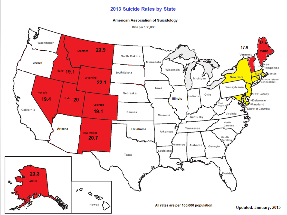#### 2013 Suicide Rates by State

#### **American Association of Suicidology**

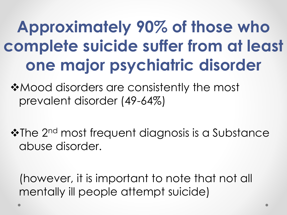# **Approximately 90% of those who complete suicide suffer from at least one major psychiatric disorder**

**\*Mood disorders are consistently the most** prevalent disorder (49-64%)

❖The 2<sup>nd</sup> most frequent diagnosis is a Substance abuse disorder.

(however, it is important to note that not all mentally ill people attempt suicide)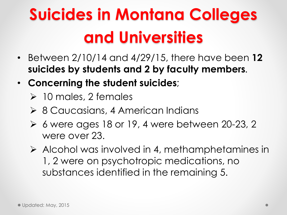# **Suicides in Montana Colleges and Universities**

- Between 2/10/14 and 4/29/15, there have been **12 suicides by students and 2 by faculty members**.
- **Concerning the student suicides**;
	- $\geq 10$  males, 2 females
	- **► 8 Caucasians, 4 American Indians**
	- $\triangleright$  6 were ages 18 or 19, 4 were between 20-23, 2 were over 23.
	- Alcohol was involved in 4, methamphetamines in 1, 2 were on psychotropic medications, no substances identified in the remaining 5.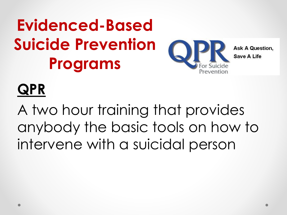# **Evidenced-Based Suicide Prevention Programs**



**Ask A Question. Save A Life** 

#### **QPR**

A two hour training that provides anybody the basic tools on how to intervene with a suicidal person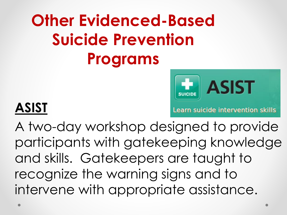# **Other Evidenced-Based Suicide Prevention Programs**



#### **ASIST**

Learn suicide intervention skills

A two-day workshop designed to provide participants with gatekeeping knowledge and skills. Gatekeepers are taught to recognize the warning signs and to intervene with appropriate assistance.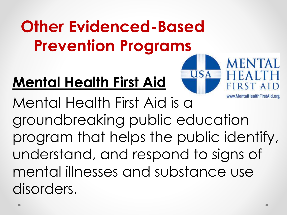# **Other Evidenced-Based Prevention Programs**

#### **Mental Health First Aid**



www.MentalHealthFirstAid.org

RST AID

**MENTAL** 

Mental Health First Aid is a groundbreaking public education program that helps the public identify, understand, and respond to signs of mental illnesses and substance use disorders.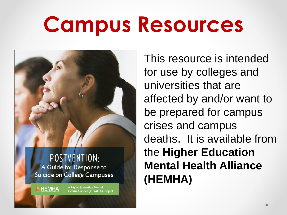# **Campus Resources**



A Guide for Response to Suicide on College Campuses

**HEMHA** 

**A Higher Education Mental** Health Alliance (HEMHA) Project This resource is intended for use by colleges and universities that are affected by and/or want to be prepared for campus crises and campus deaths. It is available from the **Higher Education Mental Health Alliance (HEMHA)**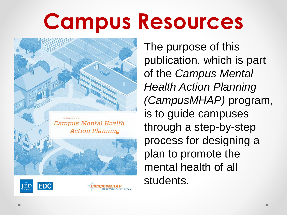# **Campus Resources**



The purpose of this publication, which is part of the *Campus Mental Health Action Planning (CampusMHAP)* program, is to guide campuses through a step-by-step process for designing a plan to promote the mental health of all students.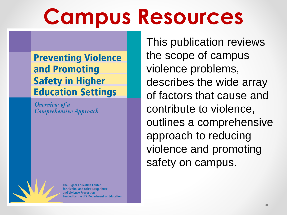# **Campus Resources**

**Preventing Violence** and Promoting **Safety in Higher Education Settings** 

Overview of a **Comprehensive Approach** 

**The Higher Education Center** for Alcohol and Other Drug Abuse and Violence Prevention Funded by the U.S. Department of Education This publication reviews the scope of campus violence problems, describes the wide array of factors that cause and contribute to violence, outlines a comprehensive approach to reducing violence and promoting safety on campus.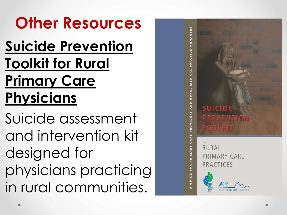#### **Other Resources**

#### **Suicide Prevention Toolkit for Rural Primary Care Physicians**

Suicide assessment and intervention kit designed for physicians practicing in rural communities.

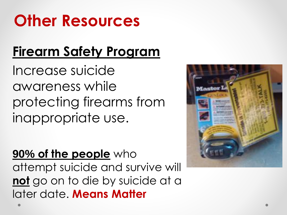### **Other Resources**

#### **Firearm Safety Program**

Increase suicide awareness while protecting firearms from inappropriate use.

#### **90% of the people** who

attempt suicide and survive will **not** go on to die by suicide at a later date. **Means Matter**